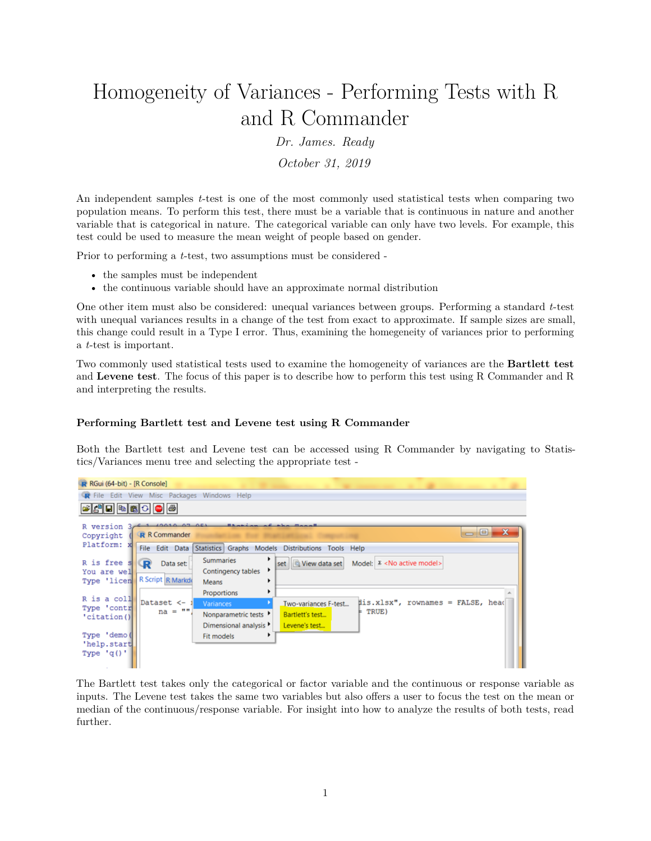## Homogeneity of Variances - Performing Tests with R and R Commander

*Dr. James. Ready*

*October 31, 2019*

An independent samples *t*-test is one of the most commonly used statistical tests when comparing two population means. To perform this test, there must be a variable that is continuous in nature and another variable that is categorical in nature. The categorical variable can only have two levels. For example, this test could be used to measure the mean weight of people based on gender.

Prior to performing a *t*-test, two assumptions must be considered -

- the samples must be independent
- the continuous variable should have an approximate normal distribution

One other item must also be considered: unequal variances between groups. Performing a standard *t*-test with unequal variances results in a change of the test from exact to approximate. If sample sizes are small, this change could result in a Type I error. Thus, examining the homegeneity of variances prior to performing a *t*-test is important.

Two commonly used statistical tests used to examine the homogeneity of variances are the **Bartlett test** and **Levene test**. The focus of this paper is to describe how to perform this test using R Commander and R and interpreting the results.

## **Performing Bartlett test and Levene test using R Commander**

Both the Bartlett test and Levene test can be accessed using R Commander by navigating to Statistics/Variances menu tree and selecting the appropriate test -

| $R$ RGui (64-bit) - [R Console]                                                         |                                                                  |                                                                          |                                                                                                        |  |                                                                                                                                                 |
|-----------------------------------------------------------------------------------------|------------------------------------------------------------------|--------------------------------------------------------------------------|--------------------------------------------------------------------------------------------------------|--|-------------------------------------------------------------------------------------------------------------------------------------------------|
| R File Edit View Misc Packages Windows Help                                             |                                                                  |                                                                          |                                                                                                        |  |                                                                                                                                                 |
| <b>BAHRAOO</b>                                                                          |                                                                  |                                                                          |                                                                                                        |  |                                                                                                                                                 |
| R version 3,<br>Copyright                                                               | 10.07.05<br><b>R</b> R Commander                                 | $11.76 - 4.4$                                                            |                                                                                                        |  | $\begin{array}{c c c c} \hline \multicolumn{1}{c }{\mathbf{=}} & \multicolumn{1}{c }{\mathbf{=}} & \multicolumn{1}{c }{\mathbf{X}} \end{array}$ |
| Platform: X                                                                             | File Edit Data Statistics Graphs Models Distributions Tools Help |                                                                          |                                                                                                        |  |                                                                                                                                                 |
| R is free s<br>You are well<br>Type 'licen<br>R is a coll<br>Type 'contr<br>'citation() | P.<br>Data set:<br>R Script R Markde<br>Dataset <-<br>$na = ""$  | ٠<br><b>Summaries</b><br>Contingency tables<br>٠<br>Means<br>Proportions | Model: $\Sigma$ <no active="" model=""><br/>set <b>C</b> View data set</no>                            |  |                                                                                                                                                 |
|                                                                                         |                                                                  | <b>Variances</b><br>Nonparametric tests<br>Dimensional analysis >        | dis.xlsx", rownames = FALSE, head<br>Two-variances F-test<br>TRUE)<br>Bartlett's test<br>Levene's test |  |                                                                                                                                                 |
| Type 'demo(<br>'help.start<br>Type $'q()'$                                              |                                                                  | Fit models                                                               |                                                                                                        |  |                                                                                                                                                 |

The Bartlett test takes only the categorical or factor variable and the continuous or response variable as inputs. The Levene test takes the same two variables but also offers a user to focus the test on the mean or median of the continuous/response variable. For insight into how to analyze the results of both tests, read further.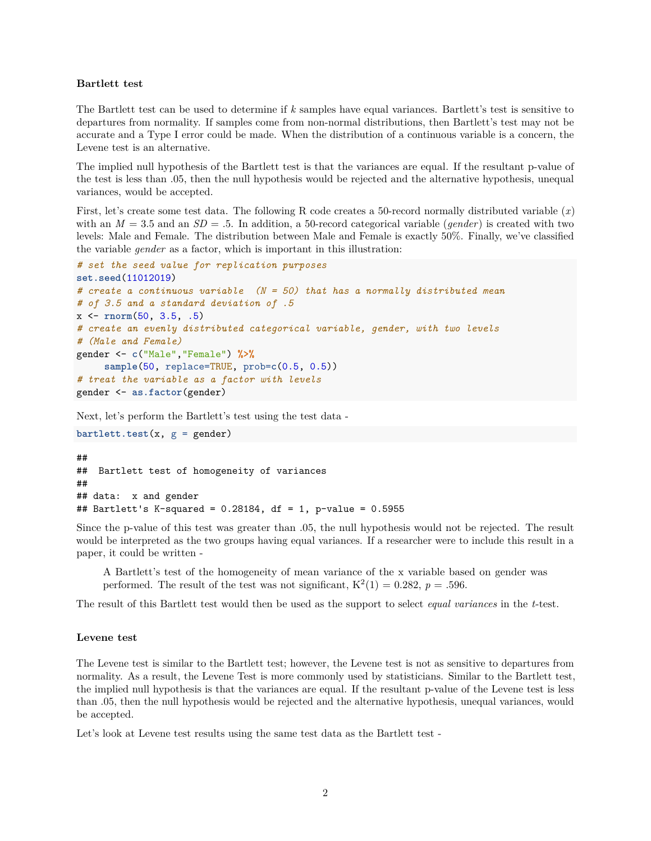## **Bartlett test**

The Bartlett test can be used to determine if *k* samples have equal variances. Bartlett's test is sensitive to departures from normality. If samples come from non-normal distributions, then Bartlett's test may not be accurate and a Type I error could be made. When the distribution of a continuous variable is a concern, the Levene test is an alternative.

The implied null hypothesis of the Bartlett test is that the variances are equal. If the resultant p-value of the test is less than .05, then the null hypothesis would be rejected and the alternative hypothesis, unequal variances, would be accepted.

First, let's create some test data. The following R code creates a 50-record normally distributed variable (*x*) with an  $M = 3.5$  and an  $SD = .5$ . In addition, a 50-record categorical variable (*gender*) is created with two levels: Male and Female. The distribution between Male and Female is exactly 50%. Finally, we've classified the variable *gender* as a factor, which is important in this illustration:

```
# set the seed value for replication purposes
set.seed(11012019)
# create a continuous variable (N = 50) that has a normally distributed mean
# of 3.5 and a standard deviation of .5
x <- rnorm(50, 3.5, .5)
# create an evenly distributed categorical variable, gender, with two levels
# (Male and Female)
gender <- c("Male","Female") %>%
     sample(50, replace=TRUE, prob=c(0.5, 0.5))
# treat the variable as a factor with levels
gender <- as.factor(gender)
```
Next, let's perform the Bartlett's test using the test data -

```
bartlett.test(x, g = gender)
```

```
##
## Bartlett test of homogeneity of variances
##
## data: x and gender
## Bartlett's K-squared = 0.28184, df = 1, p-value = 0.5955
```
Since the p-value of this test was greater than .05, the null hypothesis would not be rejected. The result would be interpreted as the two groups having equal variances. If a researcher were to include this result in a paper, it could be written -

A Bartlett's test of the homogeneity of mean variance of the x variable based on gender was performed. The result of the test was not significant,  $K^2(1) = 0.282$ ,  $p = .596$ .

The result of this Bartlett test would then be used as the support to select *equal variances* in the *t*-test.

## **Levene test**

The Levene test is similar to the Bartlett test; however, the Levene test is not as sensitive to departures from normality. As a result, the Levene Test is more commonly used by statisticians. Similar to the Bartlett test, the implied null hypothesis is that the variances are equal. If the resultant p-value of the Levene test is less than .05, then the null hypothesis would be rejected and the alternative hypothesis, unequal variances, would be accepted.

Let's look at Levene test results using the same test data as the Bartlett test -